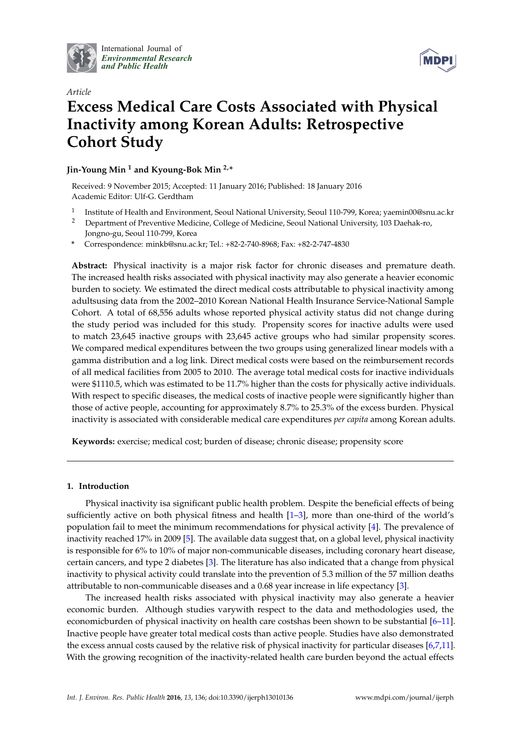

International Journal of *[Environmental Research](http://www.mdpi.com/journal/ijerph) and Public Health*



# *Article* **Excess Medical Care Costs Associated with Physical Inactivity among Korean Adults: Retrospective Cohort Study**

## **Jin-Young Min <sup>1</sup> and Kyoung-Bok Min 2,\***

Received: 9 November 2015; Accepted: 11 January 2016; Published: 18 January 2016 Academic Editor: Ulf-G. Gerdtham

- 1 Institute of Health and Environment, Seoul National University, Seoul 110-799, Korea; yaemin00@snu.ac.kr
- <sup>2</sup> Department of Preventive Medicine, College of Medicine, Seoul National University, 103 Daehak-ro, Jongno-gu, Seoul 110-799, Korea
- **\*** Correspondence: minkb@snu.ac.kr; Tel.: +82-2-740-8968; Fax: +82-2-747-4830

**Abstract:** Physical inactivity is a major risk factor for chronic diseases and premature death. The increased health risks associated with physical inactivity may also generate a heavier economic burden to society. We estimated the direct medical costs attributable to physical inactivity among adultsusing data from the 2002–2010 Korean National Health Insurance Service-National Sample Cohort. A total of 68,556 adults whose reported physical activity status did not change during the study period was included for this study. Propensity scores for inactive adults were used to match 23,645 inactive groups with 23,645 active groups who had similar propensity scores. We compared medical expenditures between the two groups using generalized linear models with a gamma distribution and a log link. Direct medical costs were based on the reimbursement records of all medical facilities from 2005 to 2010. The average total medical costs for inactive individuals were \$1110.5, which was estimated to be 11.7% higher than the costs for physically active individuals. With respect to specific diseases, the medical costs of inactive people were significantly higher than those of active people, accounting for approximately 8.7% to 25.3% of the excess burden. Physical inactivity is associated with considerable medical care expenditures *per capita* among Korean adults.

**Keywords:** exercise; medical cost; burden of disease; chronic disease; propensity score

## **1. Introduction**

Physical inactivity isa significant public health problem. Despite the beneficial effects of being sufficiently active on both physical fitness and health [\[1](#page-6-0)[–3\]](#page-6-1), more than one-third of the world's population fail to meet the minimum recommendations for physical activity [\[4\]](#page-6-2). The prevalence of inactivity reached 17% in 2009 [\[5\]](#page-6-3). The available data suggest that, on a global level, physical inactivity is responsible for 6% to 10% of major non-communicable diseases, including coronary heart disease, certain cancers, and type 2 diabetes [\[3\]](#page-6-1). The literature has also indicated that a change from physical inactivity to physical activity could translate into the prevention of 5.3 million of the 57 million deaths attributable to non-communicable diseases and a 0.68 year increase in life expectancy [\[3\]](#page-6-1).

The increased health risks associated with physical inactivity may also generate a heavier economic burden. Although studies varywith respect to the data and methodologies used, the economicburden of physical inactivity on health care costshas been shown to be substantial [\[6–](#page-6-4)[11\]](#page-6-5). Inactive people have greater total medical costs than active people. Studies have also demonstrated the excess annual costs caused by the relative risk of physical inactivity for particular diseases [\[6](#page-6-4)[,7](#page-6-6)[,11\]](#page-6-5). With the growing recognition of the inactivity-related health care burden beyond the actual effects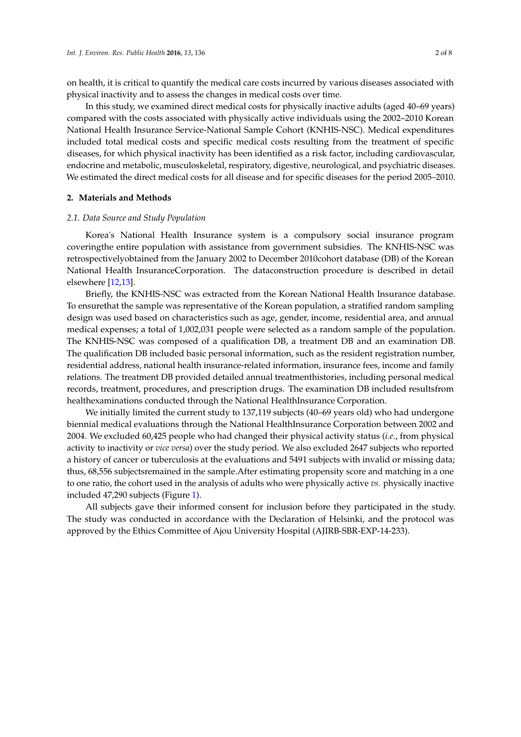on health, it is critical to quantify the medical care costs incurred by various diseases associated with physical inactivity and to assess the changes in medical costs over time.

In this study, we examined direct medical costs for physically inactive adults (aged 40–69 years) compared with the costs associated with physically active individuals using the 2002–2010 Korean National Health Insurance Service-National Sample Cohort (KNHIS-NSC). Medical expenditures included total medical costs and specific medical costs resulting from the treatment of specific diseases, for which physical inactivity has been identified as a risk factor, including cardiovascular, endocrine and metabolic, musculoskeletal, respiratory, digestive, neurological, and psychiatric diseases. We estimated the direct medical costs for all disease and for specific diseases for the period 2005–2010.

#### **2. Materials and Methods**

#### *2.1. Data Source and Study Population*

Korea's National Health Insurance system is a compulsory social insurance program coveringthe entire population with assistance from government subsidies. The KNHIS-NSC was retrospectivelyobtained from the January 2002 to December 2010cohort database (DB) of the Korean National Health InsuranceCorporation. The dataconstruction procedure is described in detail elsewhere [\[12](#page-6-7)[,13\]](#page-6-8).

Briefly, the KNHIS-NSC was extracted from the Korean National Health Insurance database. To ensurethat the sample was representative of the Korean population, a stratified random sampling design was used based on characteristics such as age, gender, income, residential area, and annual medical expenses; a total of 1,002,031 people were selected as a random sample of the population. The KNHIS-NSC was composed of a qualification DB, a treatment DB and an examination DB. The qualification DB included basic personal information, such as the resident registration number, residential address, national health insurance-related information, insurance fees, income and family relations. The treatment DB provided detailed annual treatmenthistories, including personal medical records, treatment, procedures, and prescription drugs. The examination DB included resultsfrom healthexaminations conducted through the National HealthInsurance Corporation.

We initially limited the current study to 137,119 subjects (40–69 years old) who had undergone biennial medical evaluations through the National HealthInsurance Corporation between 2002 and 2004. We excluded 60,425 people who had changed their physical activity status (*i.e.*, from physical activity to inactivity or *vice versa*) over the study period. We also excluded 2647 subjects who reported a history of cancer or tuberculosis at the evaluations and 5491 subjects with invalid or missing data; thus, 68,556 subjectsremained in the sample.After estimating propensity score and matching in a one to one ratio, the cohort used in the analysis of adults who were physically active *vs.* physically inactive included 47,290 subjects (Figure [1\)](#page-2-0).

All subjects gave their informed consent for inclusion before they participated in the study. The study was conducted in accordance with the Declaration of Helsinki, and the protocol was approved by the Ethics Committee of Ajou University Hospital (AJIRB-SBR-EXP-14-233).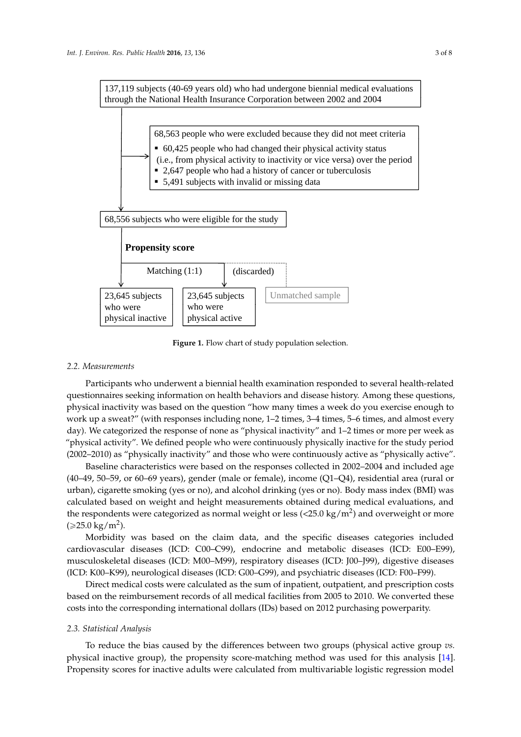<span id="page-2-0"></span>137,119 subjects (40-69 years old) who had undergone biennial medical evaluations through the National Health Insurance Corporation between 2002 and 2004



**Figure 1.** Flow chart of study population selection.

#### *2.2. Measurements*

Participants who underwent a biennial health examination responded to several health-related questionnaires seeking information on health behaviors and disease history. Among these questions, physical inactivity was based on the question "how many times a week do you exercise enough to work up a sweat?" (with responses including none, 1–2 times, 3–4 times, 5–6 times, and almost every day). We categorized the response of none as "physical inactivity" and 1–2 times or more per week as "physical activity". We defined people who were continuously physically inactive for the study period (2002–2010) as "physically inactivity" and those who were continuously active as "physically active".

Baseline characteristics were based on the responses collected in 2002–2004 and included age (40–49, 50–59, or 60–69 years), gender (male or female), income (Q1–Q4), residential area (rural or urban), cigarette smoking (yes or no), and alcohol drinking (yes or no). Body mass index (BMI) was calculated based on weight and height measurements obtained during medical evaluations, and the respondents were categorized as normal weight or less (<25.0 kg/m<sup>2</sup>) and overweight or more (≥25.0 kg/m<sup>2</sup>).

Morbidity was based on the claim data, and the specific diseases categories included cardiovascular diseases (ICD: C00–C99), endocrine and metabolic diseases (ICD: E00–E99), musculoskeletal diseases (ICD: M00–M99), respiratory diseases (ICD: J00–J99), digestive diseases (ICD: K00–K99), neurological diseases (ICD: G00–G99), and psychiatric diseases (ICD: F00–F99).

Direct medical costs were calculated as the sum of inpatient, outpatient, and prescription costs based on the reimbursement records of all medical facilities from 2005 to 2010. We converted these costs into the corresponding international dollars (IDs) based on 2012 purchasing powerparity.

### *2.3. Statistical Analysis*

To reduce the bias caused by the differences between two groups (physical active group *vs.* physical inactive group), the propensity score-matching method was used for this analysis [\[14\]](#page-6-9). Propensity scores for inactive adults were calculated from multivariable logistic regression model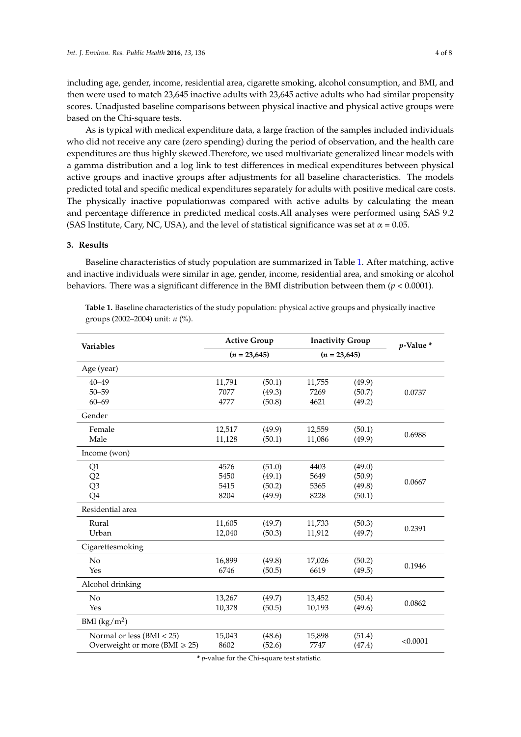including age, gender, income, residential area, cigarette smoking, alcohol consumption, and BMI, and then were used to match 23,645 inactive adults with 23,645 active adults who had similar propensity scores. Unadjusted baseline comparisons between physical inactive and physical active groups were based on the Chi-square tests.

As is typical with medical expenditure data, a large fraction of the samples included individuals who did not receive any care (zero spending) during the period of observation, and the health care expenditures are thus highly skewed.Therefore, we used multivariate generalized linear models with a gamma distribution and a log link to test differences in medical expenditures between physical active groups and inactive groups after adjustments for all baseline characteristics. The models predicted total and specific medical expenditures separately for adults with positive medical care costs. The physically inactive populationwas compared with active adults by calculating the mean and percentage difference in predicted medical costs.All analyses were performed using SAS 9.2 (SAS Institute, Cary, NC, USA), and the level of statistical significance was set at  $\alpha$  = 0.05.

## **3. Results**

Baseline characteristics of study population are summarized in Table [1.](#page-3-0) After matching, active and inactive individuals were similar in age, gender, income, residential area, and smoking or alcohol behaviors. There was a significant difference in the BMI distribution between them (*p* < 0.0001).

| <b>Variables</b>                            | <b>Active Group</b> |        | <b>Inactivity Group</b> |        | $p$ -Value $*$ |  |
|---------------------------------------------|---------------------|--------|-------------------------|--------|----------------|--|
|                                             | $(n = 23,645)$      |        | $(n = 23,645)$          |        |                |  |
| Age (year)                                  |                     |        |                         |        |                |  |
| $40 - 49$                                   | 11,791              | (50.1) | 11,755                  | (49.9) |                |  |
| $50 - 59$                                   | 7077                | (49.3) | 7269                    | (50.7) | 0.0737         |  |
| $60 - 69$                                   | 4777                | (50.8) | 4621                    | (49.2) |                |  |
| Gender                                      |                     |        |                         |        |                |  |
| Female                                      | 12,517              | (49.9) | 12,559                  | (50.1) | 0.6988         |  |
| Male                                        | 11,128              | (50.1) | 11,086                  | (49.9) |                |  |
| Income (won)                                |                     |        |                         |        |                |  |
| Q1                                          | 4576                | (51.0) | 4403                    | (49.0) | 0.0667         |  |
| Q2                                          | 5450                | (49.1) | 5649                    | (50.9) |                |  |
| Q3                                          | 5415                | (50.2) | 5365                    | (49.8) |                |  |
| Q4                                          | 8204                | (49.9) | 8228                    | (50.1) |                |  |
| Residential area                            |                     |        |                         |        |                |  |
| Rural                                       | 11,605              | (49.7) | 11,733                  | (50.3) | 0.2391         |  |
| Urban                                       | 12,040              | (50.3) | 11,912                  | (49.7) |                |  |
| Cigarettesmoking                            |                     |        |                         |        |                |  |
| No                                          | 16,899              | (49.8) | 17,026                  | (50.2) | 0.1946         |  |
| Yes                                         | 6746                | (50.5) | 6619                    | (49.5) |                |  |
| Alcohol drinking                            |                     |        |                         |        |                |  |
| No                                          | 13,267              | (49.7) | 13,452                  | (50.4) | 0.0862         |  |
| Yes                                         | 10,378              | (50.5) | 10,193                  | (49.6) |                |  |
| BMI $(kg/m^2)$                              |                     |        |                         |        |                |  |
| Normal or less (BMI < 25)                   | 15,043              | (48.6) | 15,898                  | (51.4) | < 0.0001       |  |
| Overweight or more ( $\text{BMI} \geq 25$ ) | 8602                | (52.6) | 7747                    | (47.4) |                |  |

<span id="page-3-0"></span>**Table 1.** Baseline characteristics of the study population: physical active groups and physically inactive groups (2002–2004) unit: *n* (%).

**\*** *p*-value for the Chi-square test statistic.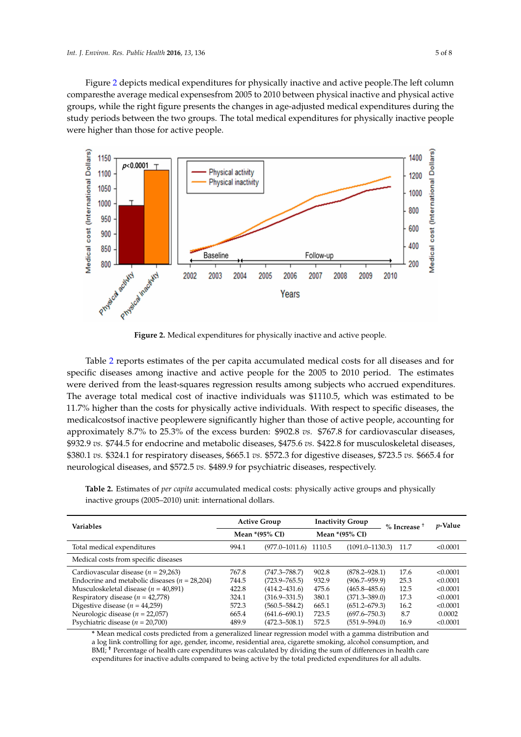Figure [2](#page-4-0) depicts medical expenditures for physically inactive and active people.The left column comparesthe average medical expensesfrom 2005 to 2010 between physical inactive and physical active groups, while the right figure presents the changes in age-adjusted medical expenditures during the study periods between the two groups. The total medical expenditures for physically inactive people were higher than those for active people.

<span id="page-4-0"></span>

**Figure 2.** Medical expenditures for physically inactive and active people.

Table [2](#page-4-1) reports estimates of the per capita accumulated medical costs for all diseases and for specific diseases among inactive and active people for the 2005 to 2010 period. The estimates were derived from the least-squares regression results among subjects who accrued expenditures. The average total medical cost of inactive individuals was \$1110.5, which was estimated to be 11.7% higher than the costs for physically active individuals. With respect to specific diseases, the medicalcostsof inactive peoplewere significantly higher than those of active people, accounting for approximately 8.7% to 25.3% of the excess burden: \$902.8 *vs.* \$767.8 for cardiovascular diseases, \$932.9 *vs.* \$744.5 for endocrine and metabolic diseases, \$475.6 *vs.* \$422.8 for musculoskeletal diseases, \$380.1 *vs.* \$324.1 for respiratory diseases, \$665.1 *vs.* \$572.3 for digestive diseases, \$723.5 *vs.* \$665.4 for neurological diseases, and \$572.5 *vs.* \$489.9 for psychiatric diseases, respectively.

**Variables Active Group Inactivity Group % Increase** † *p***-Value Mean \*(95% CI) Mean \*(95% CI)** Total medical expenditures 994.1 (977.0–1011.6) 1110.5 (1091.0–1130.3) 11.7 <0.0001 Medical costs from specific diseases Cardiovascular disease (*n* = 29,263) 767.8 (747.3–788.7) 902.8 (878.2–928.1) 17.6 <0.0001<br>Endocrine and metabolic diseases (*n* = 28,204) 744.5 (723.9–765.5) 932.9 (906.7–959.9) 25.3 <0.0001

Endocrine and metabolic diseases (*n* = 28,204) 744.5 (723.9–765.5) 932.9 (906.7–959.9) 25.3 <0.0001 Musculoskeletal disease (*n* = 40,891) <br>
Respiratory disease (*n* = 42,778) <br>
(324.1 (316.9–331.5) 380.1 (371.3–389.0) 17.3 <0.0001

<span id="page-4-1"></span>**Table 2.** Estimates of *per capita* accumulated medical costs: physically active groups and physically inactive groups (2005–2010) unit: international dollars.

| Respiratory disease ( $n = 42,778$ )                                                                                                                                                                                     | 324.1 | $(316.9 - 331.5)$ | 380.1 | $(371.3 - 389.0)$ | 17.3 | < 0.0001 |
|--------------------------------------------------------------------------------------------------------------------------------------------------------------------------------------------------------------------------|-------|-------------------|-------|-------------------|------|----------|
| Digestive disease ( $n = 44,259$ )                                                                                                                                                                                       | 572.3 | $(560.5 - 584.2)$ | 665.1 | $(651.2 - 679.3)$ | 16.2 | < 0.0001 |
| Neurologic disease ( $n = 22,057$ )                                                                                                                                                                                      | 665.4 | $(641.6 - 690.1)$ | 723.5 | $(697.6 - 750.3)$ | 8.7  | 0.0002   |
| Psychiatric disease $(n = 20,700)$                                                                                                                                                                                       | 489.9 | $(472.3 - 508.1)$ | 572.5 | $(551.9 - 594.0)$ | 16.9 | < 0.0001 |
| * Mean medical costs predicted from a generalized linear regression model with a gamma distribution and<br>a log link controlling for age, gender, income, residential area, cigarette smoking, alcohol consumption, and |       |                   |       |                   |      |          |
| BMI; <sup>†</sup> Percentage of health care expenditures was calculated by dividing the sum of differences in health care                                                                                                |       |                   |       |                   |      |          |

expenditures for inactive adults compared to being active by the total predicted expenditures for all adults.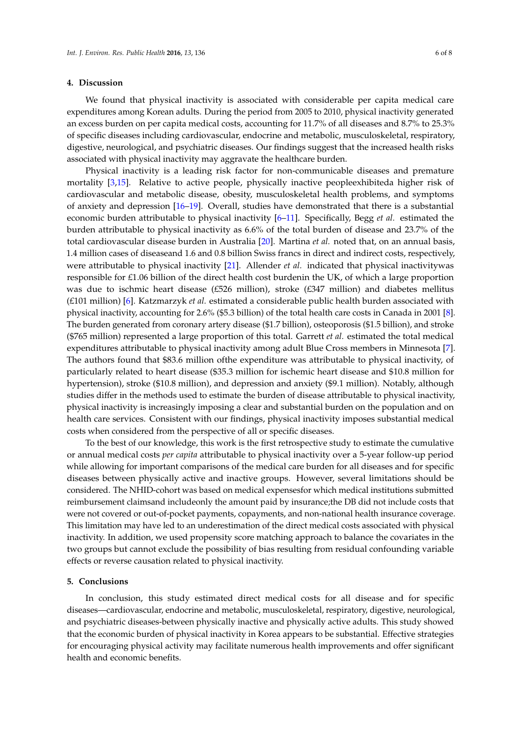### **4. Discussion**

We found that physical inactivity is associated with considerable per capita medical care expenditures among Korean adults. During the period from 2005 to 2010, physical inactivity generated an excess burden on per capita medical costs, accounting for 11.7% of all diseases and 8.7% to 25.3% of specific diseases including cardiovascular, endocrine and metabolic, musculoskeletal, respiratory, digestive, neurological, and psychiatric diseases. Our findings suggest that the increased health risks associated with physical inactivity may aggravate the healthcare burden.

Physical inactivity is a leading risk factor for non-communicable diseases and premature mortality [\[3,](#page-6-1)[15\]](#page-6-10). Relative to active people, physically inactive peopleexhibiteda higher risk of cardiovascular and metabolic disease, obesity, musculoskeletal health problems, and symptoms of anxiety and depression [\[16](#page-6-11)[–19\]](#page-7-0). Overall, studies have demonstrated that there is a substantial economic burden attributable to physical inactivity [\[6–](#page-6-4)[11\]](#page-6-5). Specifically, Begg *et al.* estimated the burden attributable to physical inactivity as 6.6% of the total burden of disease and 23.7% of the total cardiovascular disease burden in Australia [\[20\]](#page-7-1). Martina *et al.* noted that, on an annual basis, 1.4 million cases of diseaseand 1.6 and 0.8 billion Swiss francs in direct and indirect costs, respectively, were attributable to physical inactivity [\[21\]](#page-7-2). Allender *et al.* indicated that physical inactivitywas responsible for £1.06 billion of the direct health cost burdenin the UK, of which a large proportion was due to ischmic heart disease (£526 million), stroke ( $£347$  million) and diabetes mellitus (£101 million) [\[6\]](#page-6-4). Katzmarzyk *et al.* estimated a considerable public health burden associated with physical inactivity, accounting for 2.6% (\$5.3 billion) of the total health care costs in Canada in 2001 [\[8\]](#page-6-12). The burden generated from coronary artery disease (\$1.7 billion), osteoporosis (\$1.5 billion), and stroke (\$765 million) represented a large proportion of this total. Garrett *et al.* estimated the total medical expenditures attributable to physical inactivity among adult Blue Cross members in Minnesota [\[7\]](#page-6-6). The authors found that \$83.6 million ofthe expenditure was attributable to physical inactivity, of particularly related to heart disease (\$35.3 million for ischemic heart disease and \$10.8 million for hypertension), stroke (\$10.8 million), and depression and anxiety (\$9.1 million). Notably, although studies differ in the methods used to estimate the burden of disease attributable to physical inactivity, physical inactivity is increasingly imposing a clear and substantial burden on the population and on health care services. Consistent with our findings, physical inactivity imposes substantial medical costs when considered from the perspective of all or specific diseases.

To the best of our knowledge, this work is the first retrospective study to estimate the cumulative or annual medical costs *per capita* attributable to physical inactivity over a 5-year follow-up period while allowing for important comparisons of the medical care burden for all diseases and for specific diseases between physically active and inactive groups. However, several limitations should be considered. The NHID-cohort was based on medical expensesfor which medical institutions submitted reimbursement claimsand includeonly the amount paid by insurance;the DB did not include costs that were not covered or out-of-pocket payments, copayments, and non-national health insurance coverage. This limitation may have led to an underestimation of the direct medical costs associated with physical inactivity. In addition, we used propensity score matching approach to balance the covariates in the two groups but cannot exclude the possibility of bias resulting from residual confounding variable effects or reverse causation related to physical inactivity.

#### **5. Conclusions**

In conclusion, this study estimated direct medical costs for all disease and for specific diseases—cardiovascular, endocrine and metabolic, musculoskeletal, respiratory, digestive, neurological, and psychiatric diseases-between physically inactive and physically active adults. This study showed that the economic burden of physical inactivity in Korea appears to be substantial. Effective strategies for encouraging physical activity may facilitate numerous health improvements and offer significant health and economic benefits.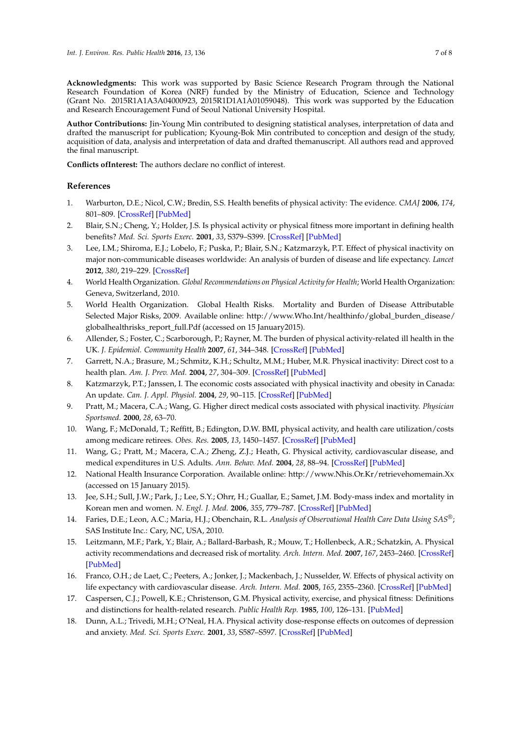**Acknowledgments:** This work was supported by Basic Science Research Program through the National Research Foundation of Korea (NRF) funded by the Ministry of Education, Science and Technology (Grant No. 2015R1A1A3A04000923, 2015R1D1A1A01059048). This work was supported by the Education and Research Encouragement Fund of Seoul National University Hospital.

**Author Contributions:** Jin-Young Min contributed to designing statistical analyses, interpretation of data and drafted the manuscript for publication; Kyoung-Bok Min contributed to conception and design of the study, acquisition of data, analysis and interpretation of data and drafted themanuscript. All authors read and approved the final manuscript.

**Conflicts ofInterest:** The authors declare no conflict of interest.

#### **References**

- <span id="page-6-0"></span>1. Warburton, D.E.; Nicol, C.W.; Bredin, S.S. Health benefits of physical activity: The evidence. *CMAJ* **2006**, *174*, 801–809. [\[CrossRef\]](http://dx.doi.org/10.1503/cmaj.051351) [\[PubMed\]](http://www.ncbi.nlm.nih.gov/pubmed/16534088)
- 2. Blair, S.N.; Cheng, Y.; Holder, J.S. Is physical activity or physical fitness more important in defining health benefits? *Med. Sci. Sports Exerc.* **2001**, *33*, S379–S399. [\[CrossRef\]](http://dx.doi.org/10.1097/00005768-200106001-00007) [\[PubMed\]](http://www.ncbi.nlm.nih.gov/pubmed/11427763)
- <span id="page-6-1"></span>3. Lee, I.M.; Shiroma, E.J.; Lobelo, F.; Puska, P.; Blair, S.N.; Katzmarzyk, P.T. Effect of physical inactivity on major non-communicable diseases worldwide: An analysis of burden of disease and life expectancy. *Lancet* **2012**, *380*, 219–229. [\[CrossRef\]](http://dx.doi.org/10.1016/S0140-6736(12)61031-9)
- <span id="page-6-2"></span>4. World Health Organization. *Global Recommendations on Physical Activity for Health*; World Health Organization: Geneva, Switzerland, 2010.
- <span id="page-6-3"></span>5. World Health Organization. Global Health Risks. Mortality and Burden of Disease Attributable Selected Major Risks, 2009. Available online: http://www.Who.Int/healthinfo/global\_burden\_disease/ globalhealthrisks\_report\_full.Pdf (accessed on 15 January2015).
- <span id="page-6-4"></span>6. Allender, S.; Foster, C.; Scarborough, P.; Rayner, M. The burden of physical activity-related ill health in the UK. *J. Epidemiol. Community Health* **2007**, *61*, 344–348. [\[CrossRef\]](http://dx.doi.org/10.1136/jech.2006.050807) [\[PubMed\]](http://www.ncbi.nlm.nih.gov/pubmed/17372296)
- <span id="page-6-6"></span>7. Garrett, N.A.; Brasure, M.; Schmitz, K.H.; Schultz, M.M.; Huber, M.R. Physical inactivity: Direct cost to a health plan. *Am. J. Prev. Med.* **2004**, *27*, 304–309. [\[CrossRef\]](http://dx.doi.org/10.1016/j.amepre.2004.07.014) [\[PubMed\]](http://www.ncbi.nlm.nih.gov/pubmed/15488360)
- <span id="page-6-12"></span>8. Katzmarzyk, P.T.; Janssen, I. The economic costs associated with physical inactivity and obesity in Canada: An update. *Can. J. Appl. Physiol.* **2004**, *29*, 90–115. [\[CrossRef\]](http://dx.doi.org/10.1139/h04-008) [\[PubMed\]](http://www.ncbi.nlm.nih.gov/pubmed/15001807)
- 9. Pratt, M.; Macera, C.A.; Wang, G. Higher direct medical costs associated with physical inactivity. *Physician Sportsmed.* **2000**, *28*, 63–70.
- 10. Wang, F.; McDonald, T.; Reffitt, B.; Edington, D.W. BMI, physical activity, and health care utilization/costs among medicare retirees. *Obes. Res.* **2005**, *13*, 1450–1457. [\[CrossRef\]](http://dx.doi.org/10.1038/oby.2005.175) [\[PubMed\]](http://www.ncbi.nlm.nih.gov/pubmed/16129728)
- <span id="page-6-5"></span>11. Wang, G.; Pratt, M.; Macera, C.A.; Zheng, Z.J.; Heath, G. Physical activity, cardiovascular disease, and medical expenditures in U.S. Adults. *Ann. Behav. Med.* **2004**, *28*, 88–94. [\[CrossRef\]](http://dx.doi.org/10.1207/s15324796abm2802_3) [\[PubMed\]](http://www.ncbi.nlm.nih.gov/pubmed/15454355)
- <span id="page-6-7"></span>12. National Health Insurance Corporation. Available online: http://www.Nhis.Or.Kr/retrievehomemain.Xx (accessed on 15 January 2015).
- <span id="page-6-8"></span>13. Jee, S.H.; Sull, J.W.; Park, J.; Lee, S.Y.; Ohrr, H.; Guallar, E.; Samet, J.M. Body-mass index and mortality in Korean men and women. *N. Engl. J. Med.* **2006**, *355*, 779–787. [\[CrossRef\]](http://dx.doi.org/10.1056/NEJMoa054017) [\[PubMed\]](http://www.ncbi.nlm.nih.gov/pubmed/16926276)
- <span id="page-6-9"></span>14. Faries, D.E.; Leon, A.C.; Maria, H.J.; Obenchain, R.L. *Analysis of Observational Health Care Data Using SAS®*; SAS Institute Inc.: Cary, NC, USA, 2010.
- <span id="page-6-10"></span>15. Leitzmann, M.F.; Park, Y.; Blair, A.; Ballard-Barbash, R.; Mouw, T.; Hollenbeck, A.R.; Schatzkin, A. Physical activity recommendations and decreased risk of mortality. *Arch. Intern. Med.* **2007**, *167*, 2453–2460. [\[CrossRef\]](http://dx.doi.org/10.1001/archinte.167.22.2453) [\[PubMed\]](http://www.ncbi.nlm.nih.gov/pubmed/18071167)
- <span id="page-6-11"></span>16. Franco, O.H.; de Laet, C.; Peeters, A.; Jonker, J.; Mackenbach, J.; Nusselder, W. Effects of physical activity on life expectancy with cardiovascular disease. *Arch. Intern. Med.* **2005**, *165*, 2355–2360. [\[CrossRef\]](http://dx.doi.org/10.1001/archinte.165.20.2355) [\[PubMed\]](http://www.ncbi.nlm.nih.gov/pubmed/16287764)
- 17. Caspersen, C.J.; Powell, K.E.; Christenson, G.M. Physical activity, exercise, and physical fitness: Definitions and distinctions for health-related research. *Public Health Rep.* **1985**, *100*, 126–131. [\[PubMed\]](http://www.ncbi.nlm.nih.gov/pubmed/3920711)
- 18. Dunn, A.L.; Trivedi, M.H.; O'Neal, H.A. Physical activity dose-response effects on outcomes of depression and anxiety. *Med. Sci. Sports Exerc.* **2001**, *33*, S587–S597. [\[CrossRef\]](http://dx.doi.org/10.1097/00005768-200106001-00027) [\[PubMed\]](http://www.ncbi.nlm.nih.gov/pubmed/11427783)